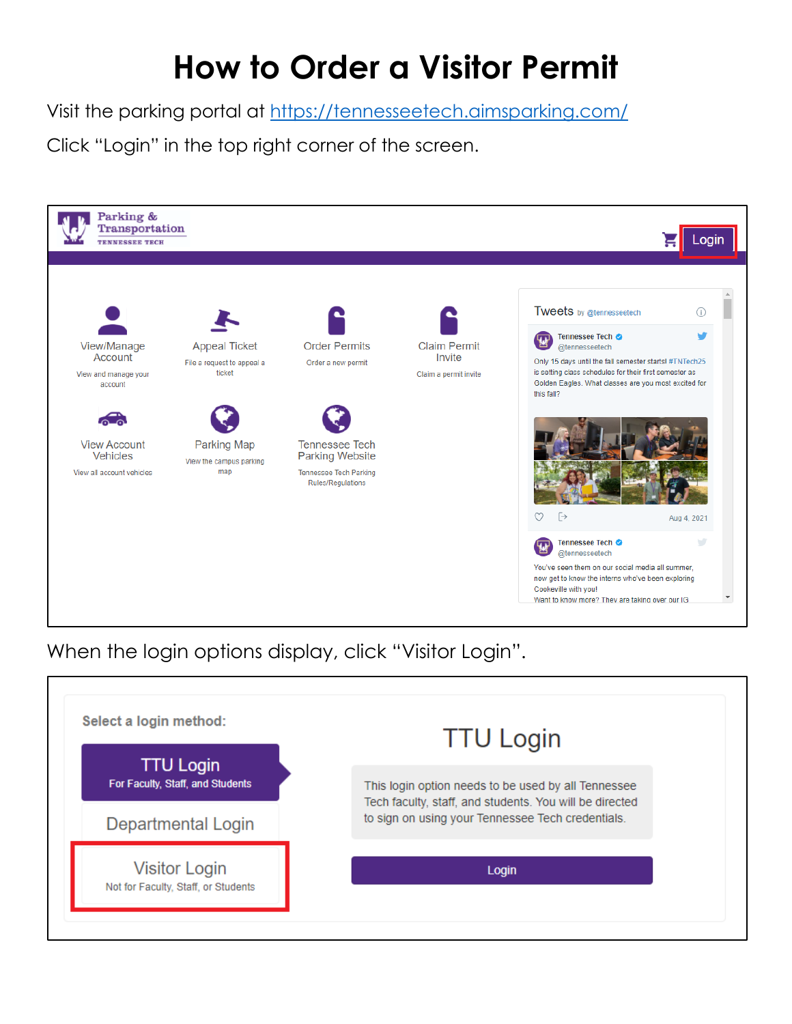# **How to Order a Visitor Permit**

Visit the parking portal at<https://tennesseetech.aimsparking.com/>

Click "Login" in the top right corner of the screen.



When the login options display, click "Visitor Login".

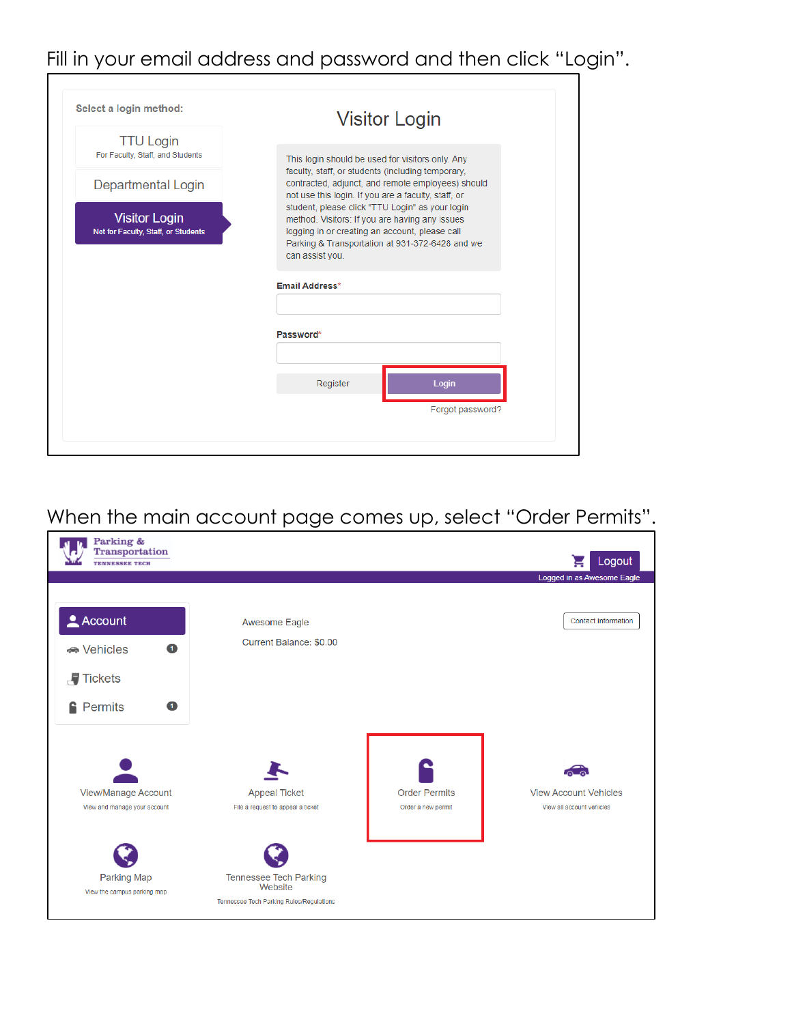## Fill in your email address and password and then click "Login".

|                                                             | <b>Visitor Login</b>                                                                                   |
|-------------------------------------------------------------|--------------------------------------------------------------------------------------------------------|
| <b>TTU Login</b>                                            |                                                                                                        |
| For Faculty, Staff, and Students                            | This login should be used for visitors only. Any<br>faculty, staff, or students (including temporary,  |
| <b>Departmental Login</b>                                   | contracted, adjunct, and remote employees) should                                                      |
|                                                             | not use this login. If you are a faculty, staff, or<br>student, please click "TTU Login" as your login |
| <b>Visitor Login</b><br>Not for Faculty, Staff, or Students | method. Visitors: If you are having any issues<br>logging in or creating an account, please call       |
|                                                             | Parking & Transportation at 931-372-6428 and we                                                        |
|                                                             | can assist you.                                                                                        |
|                                                             | <b>Email Address*</b>                                                                                  |
|                                                             |                                                                                                        |
|                                                             | Password*                                                                                              |
|                                                             |                                                                                                        |
|                                                             | Register<br>Login                                                                                      |
|                                                             |                                                                                                        |
|                                                             | Forgot password?                                                                                       |

## When the main account page comes up, select "Order Permits".

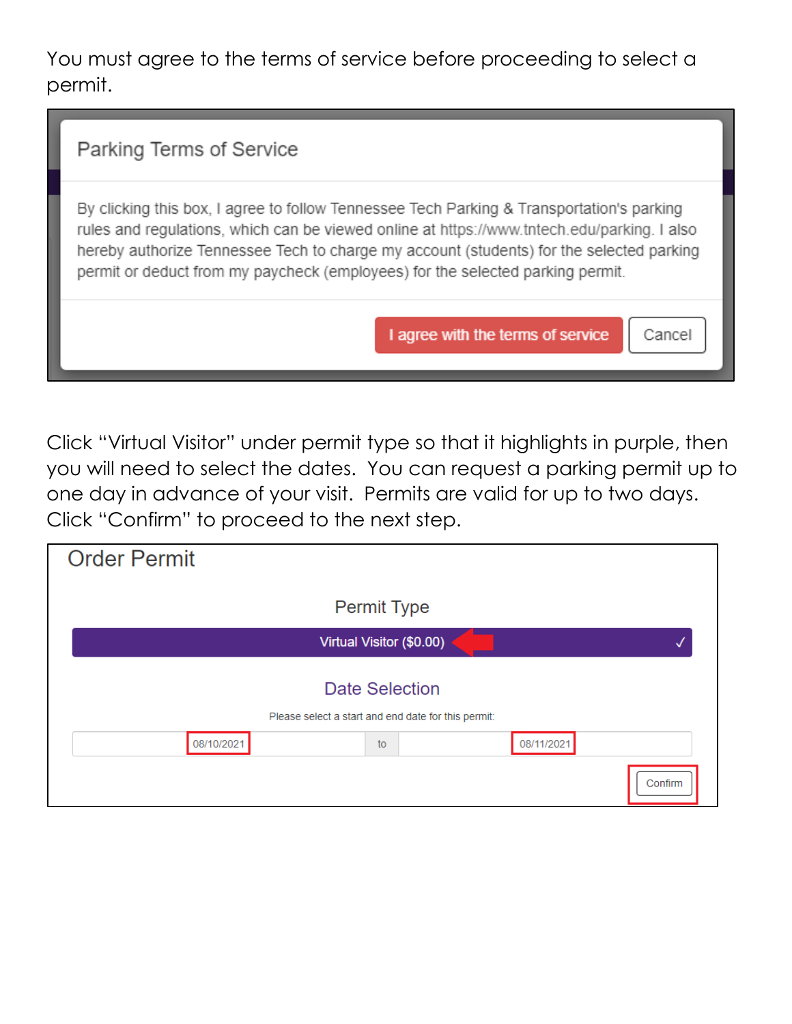You must agree to the terms of service before proceeding to select a permit.

By clicking this box, I agree to follow Tennessee Tech Parking & Transportation's parking rules and regulations, which can be viewed online at https://www.tntech.edu/parking. I also hereby authorize Tennessee Tech to charge my account (students) for the selected parking permit or deduct from my paycheck (employees) for the selected parking permit.

I agree with the terms of service

Cancel

Click "Virtual Visitor" under permit type so that it highlights in purple, then you will need to select the dates. You can request a parking permit up to one day in advance of your visit. Permits are valid for up to two days. Click "Confirm" to proceed to the next step.

| <b>Order Permit</b>                                 |            |
|-----------------------------------------------------|------------|
| <b>Permit Type</b>                                  |            |
| Virtual Visitor (\$0.00)                            |            |
| <b>Date Selection</b>                               |            |
| Please select a start and end date for this permit: |            |
| 08/10/2021<br>to                                    | 08/11/2021 |
|                                                     | Confirm    |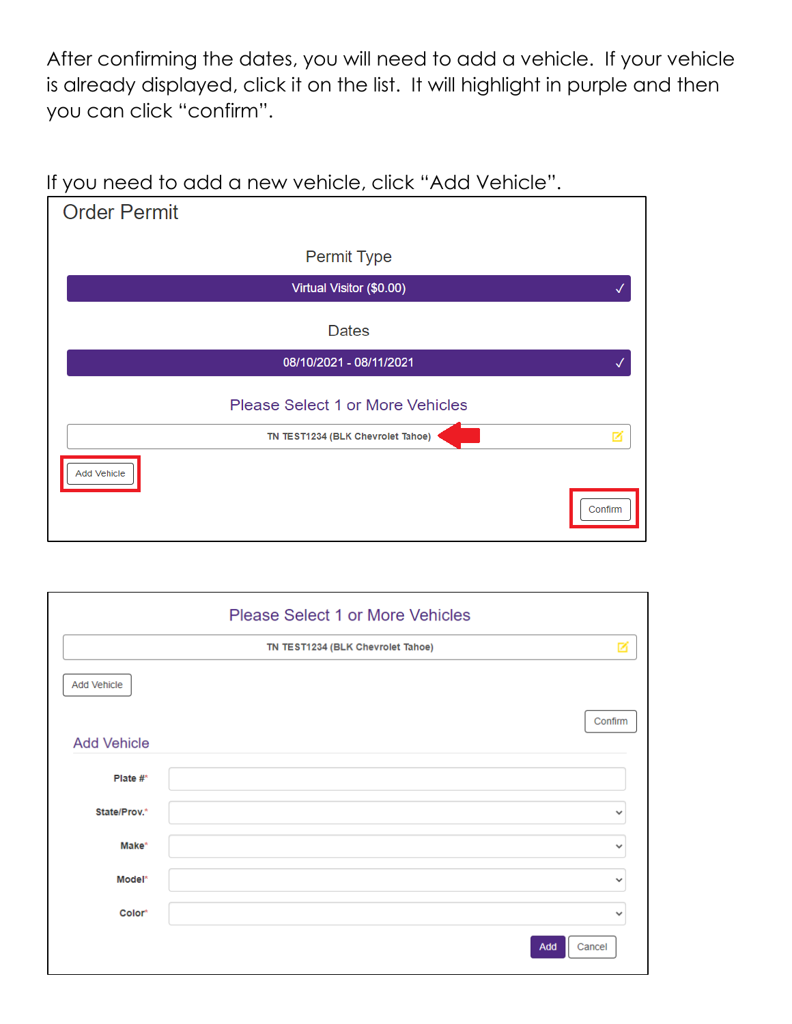After confirming the dates, you will need to add a vehicle. If your vehicle is already displayed, click it on the list. It will highlight in purple and then you can click "confirm".

#### If you need to add a new vehicle, click "Add Vehicle".

| <b>Order Permit</b> |                                         |         |
|---------------------|-----------------------------------------|---------|
|                     | Permit Type                             |         |
|                     | Virtual Visitor (\$0.00)                |         |
|                     | <b>Dates</b>                            |         |
|                     | 08/10/2021 - 08/11/2021                 |         |
|                     | <b>Please Select 1 or More Vehicles</b> |         |
|                     | TN TEST1234 (BLK Chevrolet Tahoe)       |         |
| Add Vehicle         |                                         | Confirm |

|                    | Please Select 1 or More Vehicles  |              |
|--------------------|-----------------------------------|--------------|
|                    | TN TEST1234 (BLK Chevrolet Tahoe) | ø            |
| Add Vehicle        |                                   |              |
|                    | Confirm                           |              |
| <b>Add Vehicle</b> |                                   |              |
| Plate $#^*$        |                                   |              |
| State/Prov.*       |                                   | ٧            |
| Make*              |                                   | $\checkmark$ |
| Model*             |                                   | $\checkmark$ |
| Color*             |                                   | $\check{ }$  |
|                    | Cancel<br>Add                     |              |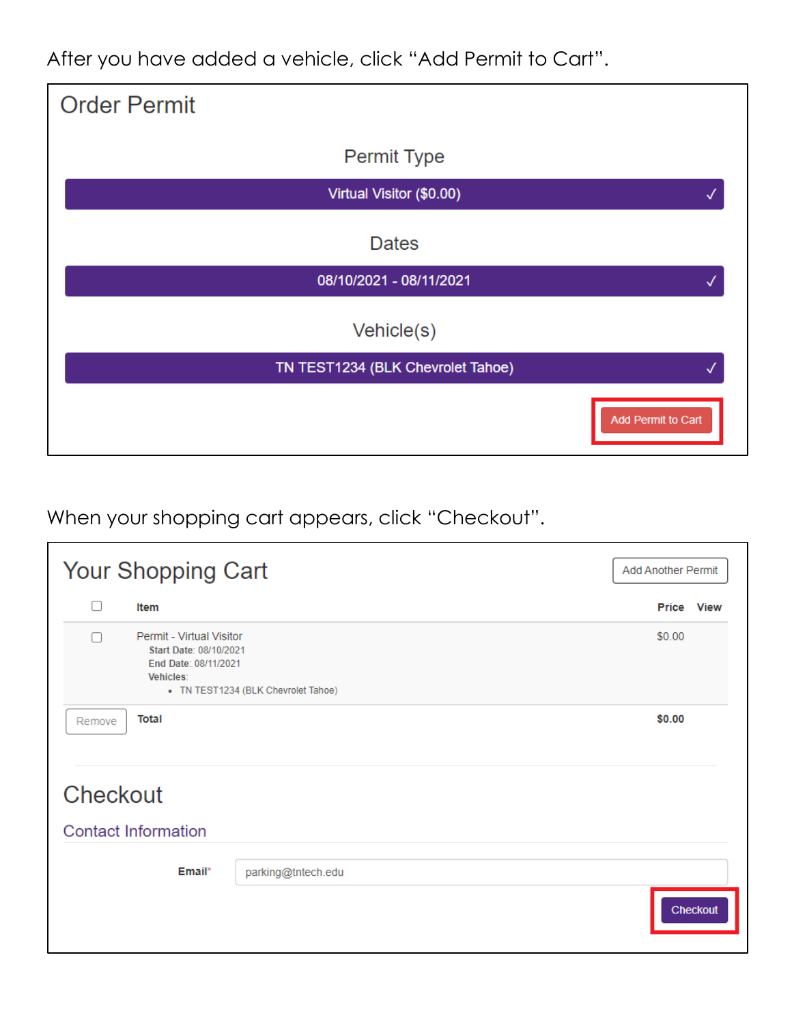After you have added a vehicle, click "Add Permit to Cart".

| <b>Order Permit</b>               |                    |
|-----------------------------------|--------------------|
| Permit Type                       |                    |
| Virtual Visitor (\$0.00)          |                    |
| <b>Dates</b>                      |                    |
| 08/10/2021 - 08/11/2021           |                    |
| Vehicle(s)                        |                    |
| TN TEST1234 (BLK Chevrolet Tahoe) |                    |
|                                   | Add Permit to Cart |

When your shopping cart appears, click "Checkout".

| Your Shopping Cart |                                                                                                                                | <b>Add Another Permit</b> |            |          |
|--------------------|--------------------------------------------------------------------------------------------------------------------------------|---------------------------|------------|----------|
| ∩                  | Item                                                                                                                           |                           | Price View |          |
| □                  | Permit - Virtual Visitor<br>Start Date: 08/10/2021<br>End Date: 08/11/2021<br>Vehicles:<br>• TN TEST1234 (BLK Chevrolet Tahoe) |                           |            |          |
| Remove<br>Checkout | <b>Total</b>                                                                                                                   |                           | \$0.00     |          |
|                    |                                                                                                                                |                           |            |          |
|                    | <b>Contact Information</b>                                                                                                     |                           |            |          |
|                    | Email*                                                                                                                         | parking@tntech.edu        |            |          |
|                    |                                                                                                                                |                           |            | Checkout |